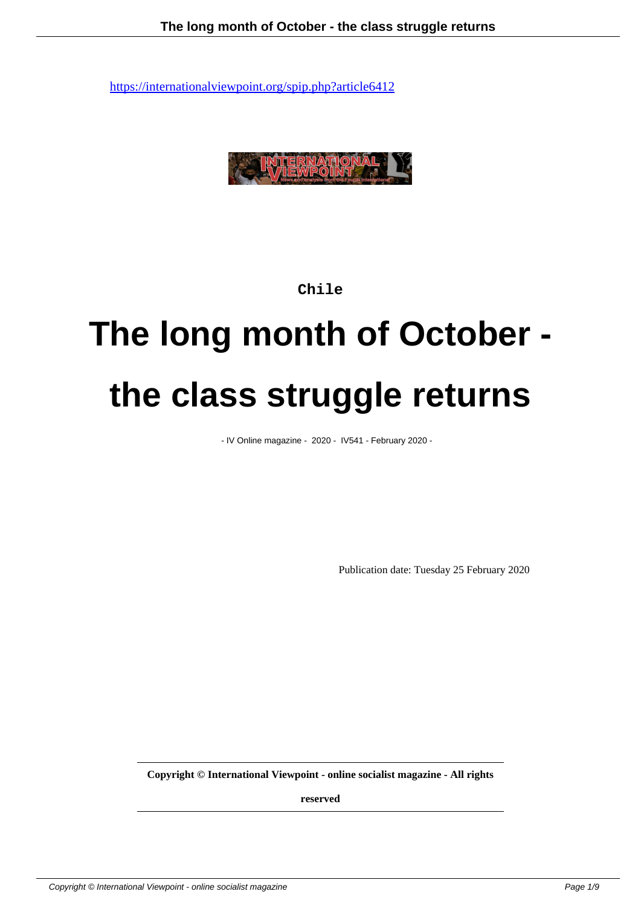

### **Chile**

# **The long month of October the class struggle returns**

- IV Online magazine - 2020 - IV541 - February 2020 -

Publication date: Tuesday 25 February 2020

**Copyright © International Viewpoint - online socialist magazine - All rights**

**reserved**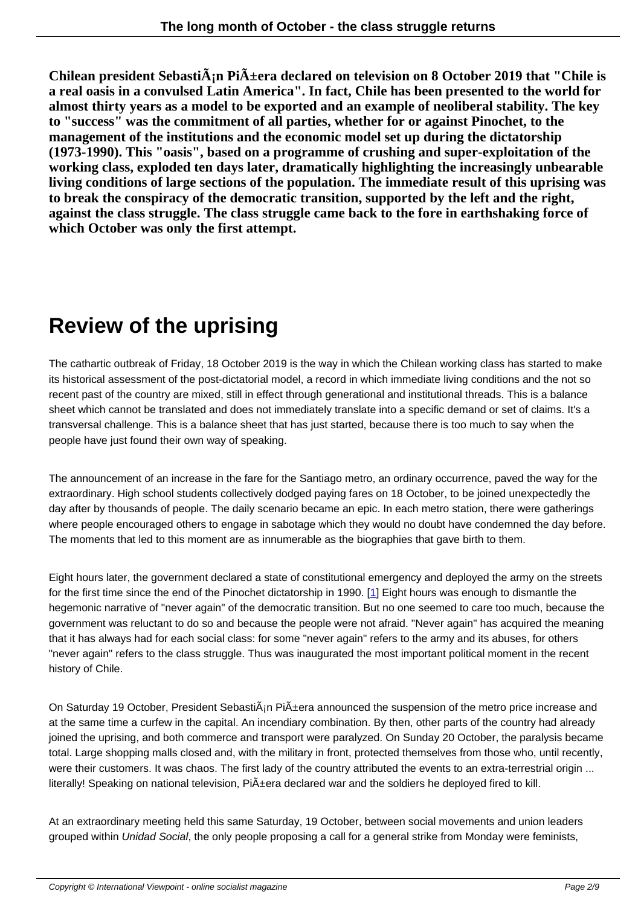**Chilean president Sebasti** $\tilde{A}$ **; pri** $\tilde{A}$  **+ era declared on television on 8 October 2019 that "Chile is a real oasis in a convulsed Latin America". In fact, Chile has been presented to the world for almost thirty years as a model to be exported and an example of neoliberal stability. The key to "success" was the commitment of all parties, whether for or against Pinochet, to the management of the institutions and the economic model set up during the dictatorship (1973-1990). This "oasis", based on a programme of crushing and super-exploitation of the working class, exploded ten days later, dramatically highlighting the increasingly unbearable living conditions of large sections of the population. The immediate result of this uprising was to break the conspiracy of the democratic transition, supported by the left and the right, against the class struggle. The class struggle came back to the fore in earthshaking force of which October was only the first attempt.**

## **Review of the uprising**

The cathartic outbreak of Friday, 18 October 2019 is the way in which the Chilean working class has started to make its historical assessment of the post-dictatorial model, a record in which immediate living conditions and the not so recent past of the country are mixed, still in effect through generational and institutional threads. This is a balance sheet which cannot be translated and does not immediately translate into a specific demand or set of claims. It's a transversal challenge. This is a balance sheet that has just started, because there is too much to say when the people have just found their own way of speaking.

The announcement of an increase in the fare for the Santiago metro, an ordinary occurrence, paved the way for the extraordinary. High school students collectively dodged paying fares on 18 October, to be joined unexpectedly the day after by thousands of people. The daily scenario became an epic. In each metro station, there were gatherings where people encouraged others to engage in sabotage which they would no doubt have condemned the day before. The moments that led to this moment are as innumerable as the biographies that gave birth to them.

Eight hours later, the government declared a state of constitutional emergency and deployed the army on the streets for the first time since the end of the Pinochet dictatorship in 1990. [1] Eight hours was enough to dismantle the hegemonic narrative of "never again" of the democratic transition. But no one seemed to care too much, because the government was reluctant to do so and because the people were not afraid. "Never again" has acquired the meaning that it has always had for each social class: for some "never again" refers to the army and its abuses, for others "never again" refers to the class struggle. Thus was inaugurated th[e m](#nb1)ost important political moment in the recent history of Chile.

On Saturday 19 October, President Sebasti $\tilde{A}$ in Pi $\tilde{A}$ ±era announced the suspension of the metro price increase and at the same time a curfew in the capital. An incendiary combination. By then, other parts of the country had already joined the uprising, and both commerce and transport were paralyzed. On Sunday 20 October, the paralysis became total. Large shopping malls closed and, with the military in front, protected themselves from those who, until recently, were their customers. It was chaos. The first lady of the country attributed the events to an extra-terrestrial origin ... literally! Speaking on national television, Pi $\tilde{A}$ ±era declared war and the soldiers he deployed fired to kill.

At an extraordinary meeting held this same Saturday, 19 October, between social movements and union leaders grouped within Unidad Social, the only people proposing a call for a general strike from Monday were feminists,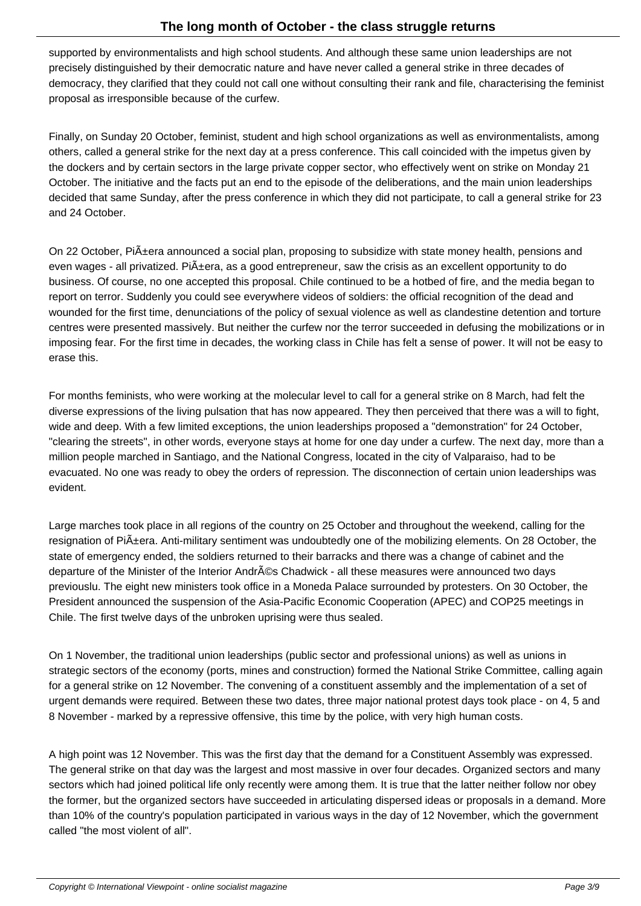supported by environmentalists and high school students. And although these same union leaderships are not precisely distinguished by their democratic nature and have never called a general strike in three decades of democracy, they clarified that they could not call one without consulting their rank and file, characterising the feminist proposal as irresponsible because of the curfew.

Finally, on Sunday 20 October, feminist, student and high school organizations as well as environmentalists, among others, called a general strike for the next day at a press conference. This call coincided with the impetus given by the dockers and by certain sectors in the large private copper sector, who effectively went on strike on Monday 21 October. The initiative and the facts put an end to the episode of the deliberations, and the main union leaderships decided that same Sunday, after the press conference in which they did not participate, to call a general strike for 23 and 24 October.

On 22 October, Pi $\tilde{A}$ ±era announced a social plan, proposing to subsidize with state money health, pensions and even wages - all privatized. Piñera, as a good entrepreneur, saw the crisis as an excellent opportunity to do business. Of course, no one accepted this proposal. Chile continued to be a hotbed of fire, and the media began to report on terror. Suddenly you could see everywhere videos of soldiers: the official recognition of the dead and wounded for the first time, denunciations of the policy of sexual violence as well as clandestine detention and torture centres were presented massively. But neither the curfew nor the terror succeeded in defusing the mobilizations or in imposing fear. For the first time in decades, the working class in Chile has felt a sense of power. It will not be easy to erase this.

For months feminists, who were working at the molecular level to call for a general strike on 8 March, had felt the diverse expressions of the living pulsation that has now appeared. They then perceived that there was a will to fight, wide and deep. With a few limited exceptions, the union leaderships proposed a "demonstration" for 24 October, "clearing the streets", in other words, everyone stays at home for one day under a curfew. The next day, more than a million people marched in Santiago, and the National Congress, located in the city of Valparaiso, had to be evacuated. No one was ready to obey the orders of repression. The disconnection of certain union leaderships was evident.

Large marches took place in all regions of the country on 25 October and throughout the weekend, calling for the resignation of Pi $\tilde{A}$ ±era. Anti-military sentiment was undoubtedly one of the mobilizing elements. On 28 October, the state of emergency ended, the soldiers returned to their barracks and there was a change of cabinet and the departure of the Minister of the Interior Andrés Chadwick - all these measures were announced two days previouslu. The eight new ministers took office in a Moneda Palace surrounded by protesters. On 30 October, the President announced the suspension of the Asia-Pacific Economic Cooperation (APEC) and COP25 meetings in Chile. The first twelve days of the unbroken uprising were thus sealed.

On 1 November, the traditional union leaderships (public sector and professional unions) as well as unions in strategic sectors of the economy (ports, mines and construction) formed the National Strike Committee, calling again for a general strike on 12 November. The convening of a constituent assembly and the implementation of a set of urgent demands were required. Between these two dates, three major national protest days took place - on 4, 5 and 8 November - marked by a repressive offensive, this time by the police, with very high human costs.

A high point was 12 November. This was the first day that the demand for a Constituent Assembly was expressed. The general strike on that day was the largest and most massive in over four decades. Organized sectors and many sectors which had joined political life only recently were among them. It is true that the latter neither follow nor obey the former, but the organized sectors have succeeded in articulating dispersed ideas or proposals in a demand. More than 10% of the country's population participated in various ways in the day of 12 November, which the government called "the most violent of all".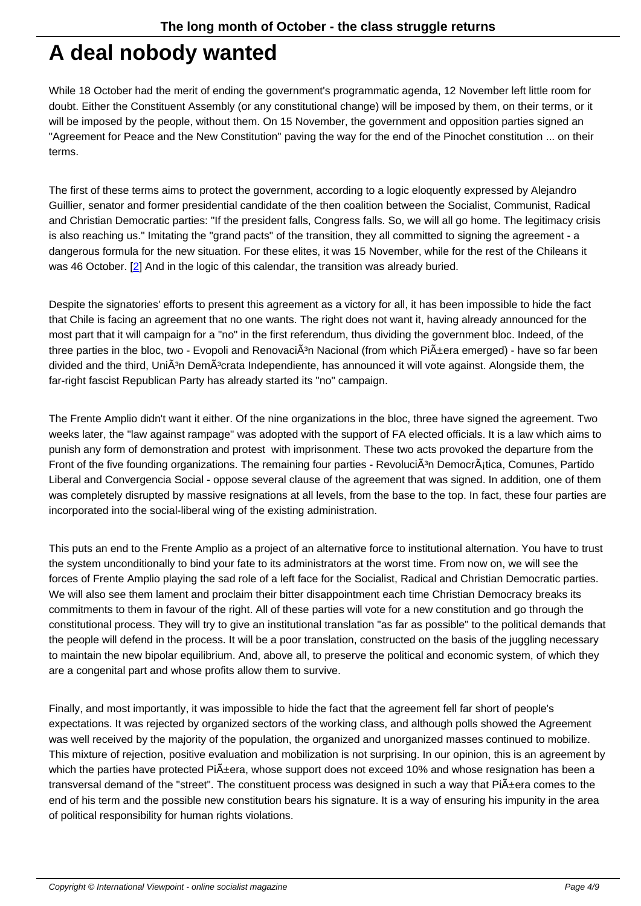### **A deal nobody wanted**

While 18 October had the merit of ending the government's programmatic agenda, 12 November left little room for doubt. Either the Constituent Assembly (or any constitutional change) will be imposed by them, on their terms, or it will be imposed by the people, without them. On 15 November, the government and opposition parties signed an "Agreement for Peace and the New Constitution" paving the way for the end of the Pinochet constitution ... on their terms.

The first of these terms aims to protect the government, according to a logic eloquently expressed by Alejandro Guillier, senator and former presidential candidate of the then coalition between the Socialist, Communist, Radical and Christian Democratic parties: "If the president falls, Congress falls. So, we will all go home. The legitimacy crisis is also reaching us." Imitating the "grand pacts" of the transition, they all committed to signing the agreement - a dangerous formula for the new situation. For these elites, it was 15 November, while for the rest of the Chileans it was 46 October. [2] And in the logic of this calendar, the transition was already buried.

Despite the signatories' efforts to present this agreement as a victory for all, it has been impossible to hide the fact that Chile is facin[g](#nb2) an agreement that no one wants. The right does not want it, having already announced for the most part that it will campaign for a "no" in the first referendum, thus dividing the government bloc. Indeed, of the three parties in the bloc, two - Evopoli and Renovaci $\tilde{A}$ <sup>3</sup>n Nacional (from which Pi $\tilde{A}$ ±era emerged) - have so far been divided and the third, UniÂ<sup>3</sup>n DemÂ<sup>3</sup>crata Independiente, has announced it will vote against. Alongside them, the far-right fascist Republican Party has already started its "no" campaign.

The Frente Amplio didn't want it either. Of the nine organizations in the bloc, three have signed the agreement. Two weeks later, the "law against rampage" was adopted with the support of FA elected officials. It is a law which aims to punish any form of demonstration and protest with imprisonment. These two acts provoked the departure from the Front of the five founding organizations. The remaining four parties - Revoluci $\tilde{A}^3$ n Democr $\tilde{A}_1$ tica, Comunes, Partido Liberal and Convergencia Social - oppose several clause of the agreement that was signed. In addition, one of them was completely disrupted by massive resignations at all levels, from the base to the top. In fact, these four parties are incorporated into the social-liberal wing of the existing administration.

This puts an end to the Frente Amplio as a project of an alternative force to institutional alternation. You have to trust the system unconditionally to bind your fate to its administrators at the worst time. From now on, we will see the forces of Frente Amplio playing the sad role of a left face for the Socialist, Radical and Christian Democratic parties. We will also see them lament and proclaim their bitter disappointment each time Christian Democracy breaks its commitments to them in favour of the right. All of these parties will vote for a new constitution and go through the constitutional process. They will try to give an institutional translation "as far as possible" to the political demands that the people will defend in the process. It will be a poor translation, constructed on the basis of the juggling necessary to maintain the new bipolar equilibrium. And, above all, to preserve the political and economic system, of which they are a congenital part and whose profits allow them to survive.

Finally, and most importantly, it was impossible to hide the fact that the agreement fell far short of people's expectations. It was rejected by organized sectors of the working class, and although polls showed the Agreement was well received by the majority of the population, the organized and unorganized masses continued to mobilize. This mixture of rejection, positive evaluation and mobilization is not surprising. In our opinion, this is an agreement by which the parties have protected Pi $\tilde{A}$ ±era, whose support does not exceed 10% and whose resignation has been a transversal demand of the "street". The constituent process was designed in such a way that  $Pi\ddot{A}$ ±era comes to the end of his term and the possible new constitution bears his signature. It is a way of ensuring his impunity in the area of political responsibility for human rights violations.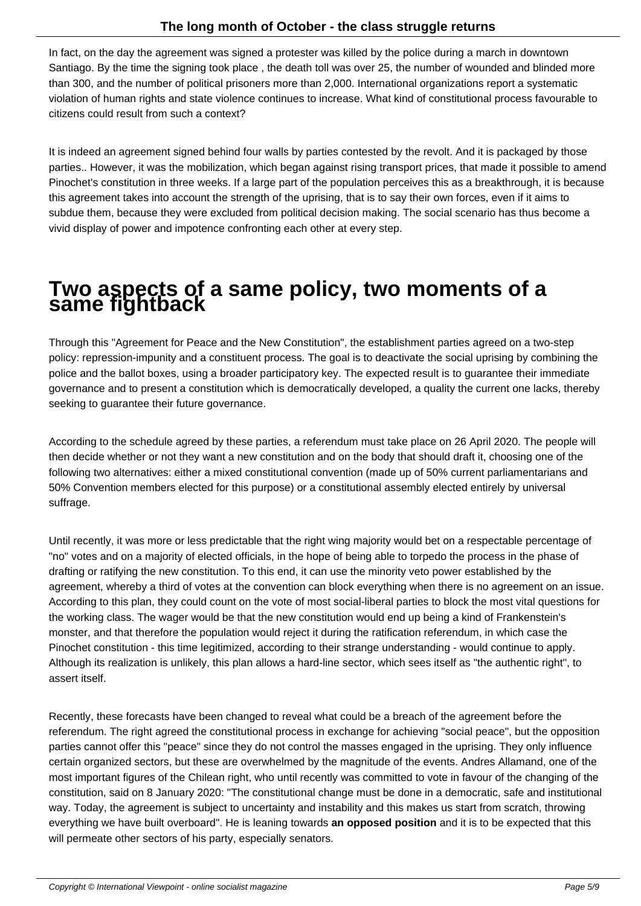In fact, on the day the agreement was signed a protester was killed by the police during a march in downtown Santiago. By the time the signing took place , the death toll was over 25, the number of wounded and blinded more than 300, and the number of political prisoners more than 2,000. International organizations report a systematic violation of human rights and state violence continues to increase. What kind of constitutional process favourable to citizens could result from such a context?

It is indeed an agreement signed behind four walls by parties contested by the revolt. And it is packaged by those parties.. However, it was the mobilization, which began against rising transport prices, that made it possible to amend Pinochet's constitution in three weeks. If a large part of the population perceives this as a breakthrough, it is because this agreement takes into account the strength of the uprising, that is to say their own forces, even if it aims to subdue them, because they were excluded from political decision making. The social scenario has thus become a vivid display of power and impotence confronting each other at every step.

## **Two aspects of a same policy, two moments of a same fightback**

Through this "Agreement for Peace and the New Constitution", the establishment parties agreed on a two-step policy: repression-impunity and a constituent process. The goal is to deactivate the social uprising by combining the police and the ballot boxes, using a broader participatory key. The expected result is to guarantee their immediate governance and to present a constitution which is democratically developed, a quality the current one lacks, thereby seeking to guarantee their future governance.

According to the schedule agreed by these parties, a referendum must take place on 26 April 2020. The people will then decide whether or not they want a new constitution and on the body that should draft it, choosing one of the following two alternatives: either a mixed constitutional convention (made up of 50% current parliamentarians and 50% Convention members elected for this purpose) or a constitutional assembly elected entirely by universal suffrage.

Until recently, it was more or less predictable that the right wing majority would bet on a respectable percentage of "no" votes and on a majority of elected officials, in the hope of being able to torpedo the process in the phase of drafting or ratifying the new constitution. To this end, it can use the minority veto power established by the agreement, whereby a third of votes at the convention can block everything when there is no agreement on an issue. According to this plan, they could count on the vote of most social-liberal parties to block the most vital questions for the working class. The wager would be that the new constitution would end up being a kind of Frankenstein's monster, and that therefore the population would reject it during the ratification referendum, in which case the Pinochet constitution - this time legitimized, according to their strange understanding - would continue to apply. Although its realization is unlikely, this plan allows a hard-line sector, which sees itself as "the authentic right", to assert itself.

Recently, these forecasts have been changed to reveal what could be a breach of the agreement before the referendum. The right agreed the constitutional process in exchange for achieving "social peace", but the opposition parties cannot offer this "peace" since they do not control the masses engaged in the uprising. They only influence certain organized sectors, but these are overwhelmed by the magnitude of the events. Andres Allamand, one of the most important figures of the Chilean right, who until recently was committed to vote in favour of the changing of the constitution, said on 8 January 2020: "The constitutional change must be done in a democratic, safe and institutional way. Today, the agreement is subject to uncertainty and instability and this makes us start from scratch, throwing everything we have built overboard". He is leaning towards **an opposed position** and it is to be expected that this will permeate other sectors of his party, especially senators.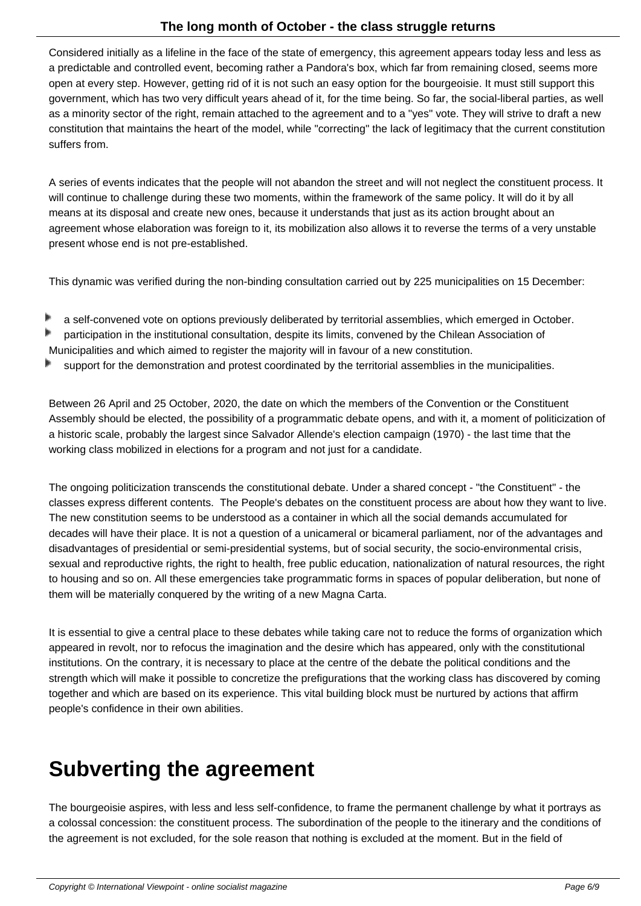Considered initially as a lifeline in the face of the state of emergency, this agreement appears today less and less as a predictable and controlled event, becoming rather a Pandora's box, which far from remaining closed, seems more open at every step. However, getting rid of it is not such an easy option for the bourgeoisie. It must still support this government, which has two very difficult years ahead of it, for the time being. So far, the social-liberal parties, as well as a minority sector of the right, remain attached to the agreement and to a "yes" vote. They will strive to draft a new constitution that maintains the heart of the model, while "correcting" the lack of legitimacy that the current constitution suffers from.

A series of events indicates that the people will not abandon the street and will not neglect the constituent process. It will continue to challenge during these two moments, within the framework of the same policy. It will do it by all means at its disposal and create new ones, because it understands that just as its action brought about an agreement whose elaboration was foreign to it, its mobilization also allows it to reverse the terms of a very unstable present whose end is not pre-established.

This dynamic was verified during the non-binding consultation carried out by 225 municipalities on 15 December:

- a self-convened vote on options previously deliberated by territorial assemblies, which emerged in October.
- participation in the institutional consultation, despite its limits, convened by the Chilean Association of Þ
- Municipalities and which aimed to register the majority will in favour of a new constitution.
- support for the demonstration and protest coordinated by the territorial assemblies in the municipalities.

Between 26 April and 25 October, 2020, the date on which the members of the Convention or the Constituent Assembly should be elected, the possibility of a programmatic debate opens, and with it, a moment of politicization of a historic scale, probably the largest since Salvador Allende's election campaign (1970) - the last time that the working class mobilized in elections for a program and not just for a candidate.

The ongoing politicization transcends the constitutional debate. Under a shared concept - "the Constituent" - the classes express different contents. The People's debates on the constituent process are about how they want to live. The new constitution seems to be understood as a container in which all the social demands accumulated for decades will have their place. It is not a question of a unicameral or bicameral parliament, nor of the advantages and disadvantages of presidential or semi-presidential systems, but of social security, the socio-environmental crisis, sexual and reproductive rights, the right to health, free public education, nationalization of natural resources, the right to housing and so on. All these emergencies take programmatic forms in spaces of popular deliberation, but none of them will be materially conquered by the writing of a new Magna Carta.

It is essential to give a central place to these debates while taking care not to reduce the forms of organization which appeared in revolt, nor to refocus the imagination and the desire which has appeared, only with the constitutional institutions. On the contrary, it is necessary to place at the centre of the debate the political conditions and the strength which will make it possible to concretize the prefigurations that the working class has discovered by coming together and which are based on its experience. This vital building block must be nurtured by actions that affirm people's confidence in their own abilities.

### **Subverting the agreement**

The bourgeoisie aspires, with less and less self-confidence, to frame the permanent challenge by what it portrays as a colossal concession: the constituent process. The subordination of the people to the itinerary and the conditions of the agreement is not excluded, for the sole reason that nothing is excluded at the moment. But in the field of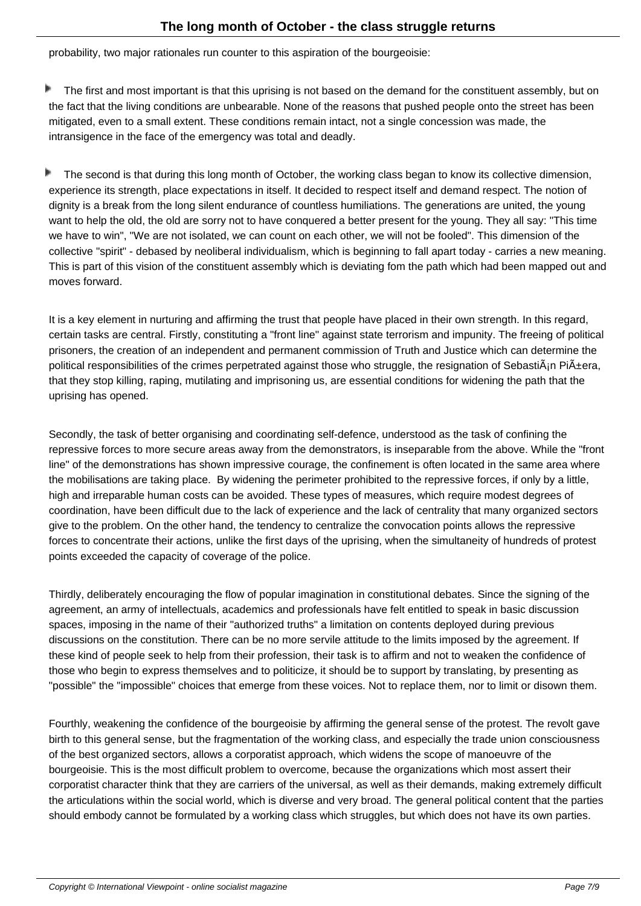probability, two major rationales run counter to this aspiration of the bourgeoisie:

Þ The first and most important is that this uprising is not based on the demand for the constituent assembly, but on the fact that the living conditions are unbearable. None of the reasons that pushed people onto the street has been mitigated, even to a small extent. These conditions remain intact, not a single concession was made, the intransigence in the face of the emergency was total and deadly.

Þ The second is that during this long month of October, the working class began to know its collective dimension, experience its strength, place expectations in itself. It decided to respect itself and demand respect. The notion of dignity is a break from the long silent endurance of countless humiliations. The generations are united, the young want to help the old, the old are sorry not to have conquered a better present for the young. They all say: "This time we have to win", "We are not isolated, we can count on each other, we will not be fooled". This dimension of the collective "spirit" - debased by neoliberal individualism, which is beginning to fall apart today - carries a new meaning. This is part of this vision of the constituent assembly which is deviating fom the path which had been mapped out and moves forward.

It is a key element in nurturing and affirming the trust that people have placed in their own strength. In this regard, certain tasks are central. Firstly, constituting a "front line" against state terrorism and impunity. The freeing of political prisoners, the creation of an independent and permanent commission of Truth and Justice which can determine the political responsibilities of the crimes perpetrated against those who struggle, the resignation of Sebasti $\hat{A}$ in Pi $\hat{A}$ ±era, that they stop killing, raping, mutilating and imprisoning us, are essential conditions for widening the path that the uprising has opened.

Secondly, the task of better organising and coordinating self-defence, understood as the task of confining the repressive forces to more secure areas away from the demonstrators, is inseparable from the above. While the "front line" of the demonstrations has shown impressive courage, the confinement is often located in the same area where the mobilisations are taking place. By widening the perimeter prohibited to the repressive forces, if only by a little, high and irreparable human costs can be avoided. These types of measures, which require modest degrees of coordination, have been difficult due to the lack of experience and the lack of centrality that many organized sectors give to the problem. On the other hand, the tendency to centralize the convocation points allows the repressive forces to concentrate their actions, unlike the first days of the uprising, when the simultaneity of hundreds of protest points exceeded the capacity of coverage of the police.

Thirdly, deliberately encouraging the flow of popular imagination in constitutional debates. Since the signing of the agreement, an army of intellectuals, academics and professionals have felt entitled to speak in basic discussion spaces, imposing in the name of their "authorized truths" a limitation on contents deployed during previous discussions on the constitution. There can be no more servile attitude to the limits imposed by the agreement. If these kind of people seek to help from their profession, their task is to affirm and not to weaken the confidence of those who begin to express themselves and to politicize, it should be to support by translating, by presenting as "possible" the "impossible" choices that emerge from these voices. Not to replace them, nor to limit or disown them.

Fourthly, weakening the confidence of the bourgeoisie by affirming the general sense of the protest. The revolt gave birth to this general sense, but the fragmentation of the working class, and especially the trade union consciousness of the best organized sectors, allows a corporatist approach, which widens the scope of manoeuvre of the bourgeoisie. This is the most difficult problem to overcome, because the organizations which most assert their corporatist character think that they are carriers of the universal, as well as their demands, making extremely difficult the articulations within the social world, which is diverse and very broad. The general political content that the parties should embody cannot be formulated by a working class which struggles, but which does not have its own parties.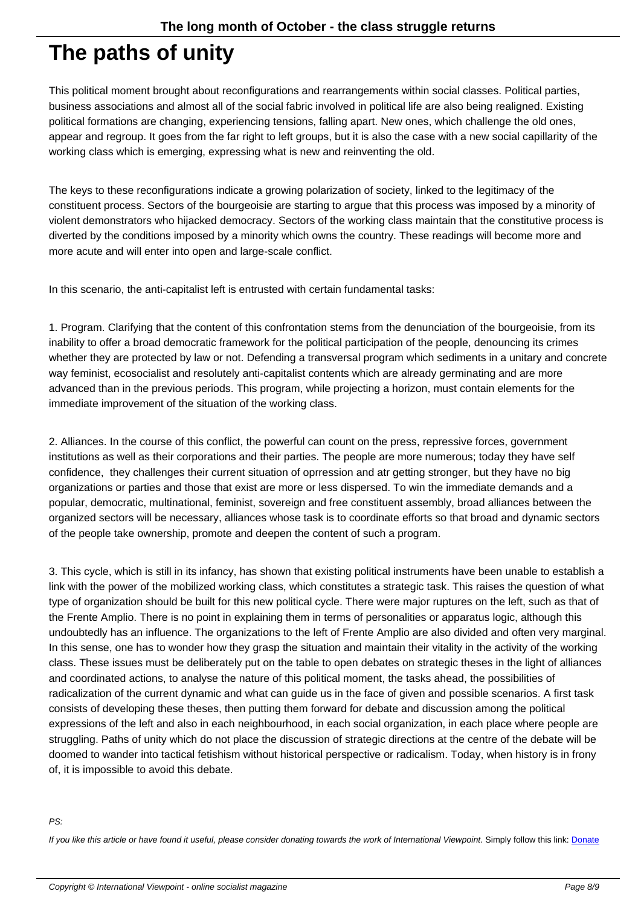### **The paths of unity**

This political moment brought about reconfigurations and rearrangements within social classes. Political parties, business associations and almost all of the social fabric involved in political life are also being realigned. Existing political formations are changing, experiencing tensions, falling apart. New ones, which challenge the old ones, appear and regroup. It goes from the far right to left groups, but it is also the case with a new social capillarity of the working class which is emerging, expressing what is new and reinventing the old.

The keys to these reconfigurations indicate a growing polarization of society, linked to the legitimacy of the constituent process. Sectors of the bourgeoisie are starting to argue that this process was imposed by a minority of violent demonstrators who hijacked democracy. Sectors of the working class maintain that the constitutive process is diverted by the conditions imposed by a minority which owns the country. These readings will become more and more acute and will enter into open and large-scale conflict.

In this scenario, the anti-capitalist left is entrusted with certain fundamental tasks:

1. Program. Clarifying that the content of this confrontation stems from the denunciation of the bourgeoisie, from its inability to offer a broad democratic framework for the political participation of the people, denouncing its crimes whether they are protected by law or not. Defending a transversal program which sediments in a unitary and concrete way feminist, ecosocialist and resolutely anti-capitalist contents which are already germinating and are more advanced than in the previous periods. This program, while projecting a horizon, must contain elements for the immediate improvement of the situation of the working class.

2. Alliances. In the course of this conflict, the powerful can count on the press, repressive forces, government institutions as well as their corporations and their parties. The people are more numerous; today they have self confidence, they challenges their current situation of oprression and atr getting stronger, but they have no big organizations or parties and those that exist are more or less dispersed. To win the immediate demands and a popular, democratic, multinational, feminist, sovereign and free constituent assembly, broad alliances between the organized sectors will be necessary, alliances whose task is to coordinate efforts so that broad and dynamic sectors of the people take ownership, promote and deepen the content of such a program.

3. This cycle, which is still in its infancy, has shown that existing political instruments have been unable to establish a link with the power of the mobilized working class, which constitutes a strategic task. This raises the question of what type of organization should be built for this new political cycle. There were major ruptures on the left, such as that of the Frente Amplio. There is no point in explaining them in terms of personalities or apparatus logic, although this undoubtedly has an influence. The organizations to the left of Frente Amplio are also divided and often very marginal. In this sense, one has to wonder how they grasp the situation and maintain their vitality in the activity of the working class. These issues must be deliberately put on the table to open debates on strategic theses in the light of alliances and coordinated actions, to analyse the nature of this political moment, the tasks ahead, the possibilities of radicalization of the current dynamic and what can guide us in the face of given and possible scenarios. A first task consists of developing these theses, then putting them forward for debate and discussion among the political expressions of the left and also in each neighbourhood, in each social organization, in each place where people are struggling. Paths of unity which do not place the discussion of strategic directions at the centre of the debate will be doomed to wander into tactical fetishism without historical perspective or radicalism. Today, when history is in frony of, it is impossible to avoid this debate.

#### PS:

If you like this article or have found it useful, please consider donating towards the work of International Viewpoint. Simply follow this link: Donate